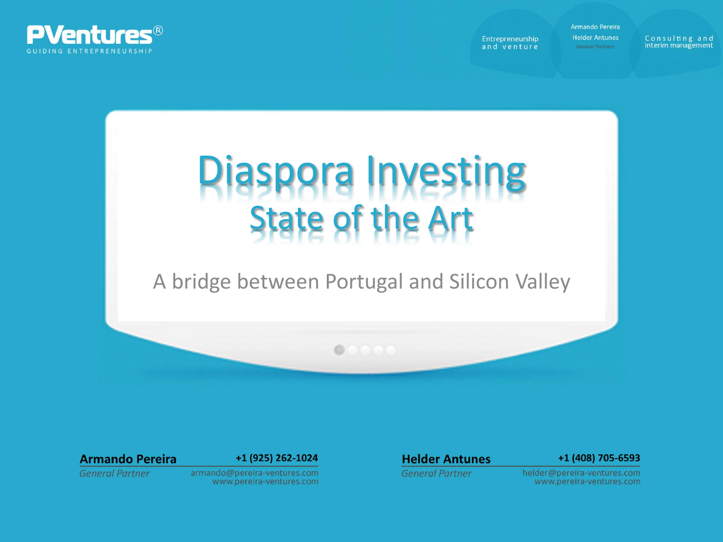

Armando Pereira

**Helder Antunes** Entrepreneurship and venture

Consulting and interim management



# A bridge between Portugal and Silicon Valley

 $0.0000$ 

## **Armando Pereira**

### +1 (925) 262-1024

## **General Partner**

#### armando@pereira-ventures.com www.pereira-ventures.com

## **Helder Antunes**

#### +1 (408) 705-6593

**General Partner** 

helder@pereira-ventures.com www.pereira-ventures.com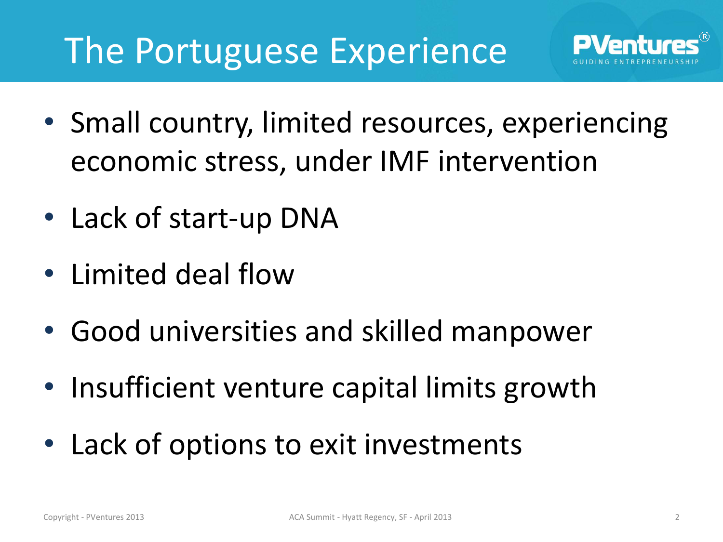# The Portuguese Experience

- Small country, limited resources, experiencing economic stress, under IMF intervention
- Lack of start-up DNA
- Limited deal flow
- Good universities and skilled manpower
- Insufficient venture capital limits growth
- Lack of options to exit investments

**PVentur**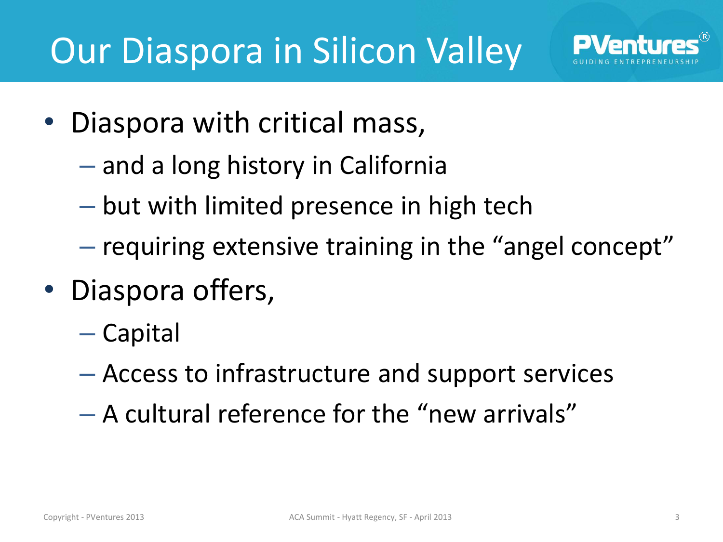

- Diaspora with critical mass,
	- and a long history in California
	- but with limited presence in high tech
	- requiring extensive training in the "angel concept"
- Diaspora offers,
	- Capital
	- Access to infrastructure and support services
	- A cultural reference for the "new arrivals"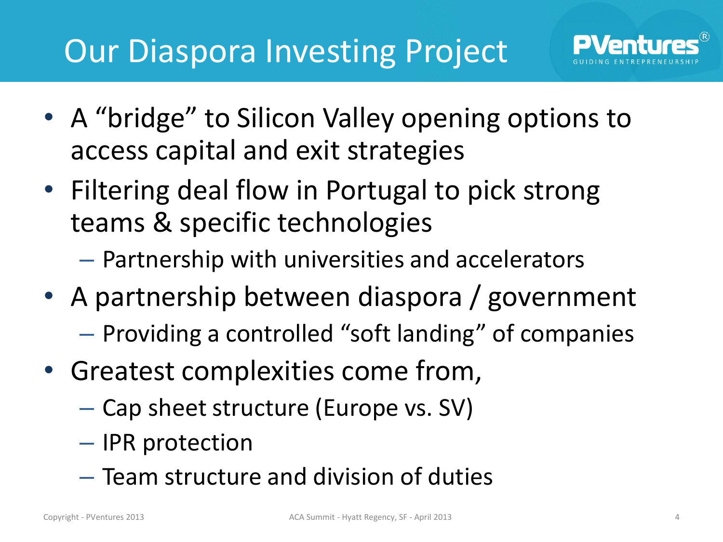

- Filtering deal flow in Portugal to pick strong teams & specific technologies
	- Partnership with universities and accelerators
- A partnership between diaspora / government
	- Providing a controlled "soft landing" of companies
- Greatest complexities come from,
	- Cap sheet structure (Europe vs. SV)
	- IPR protection
	- Team structure and division of duties

**PVentu**